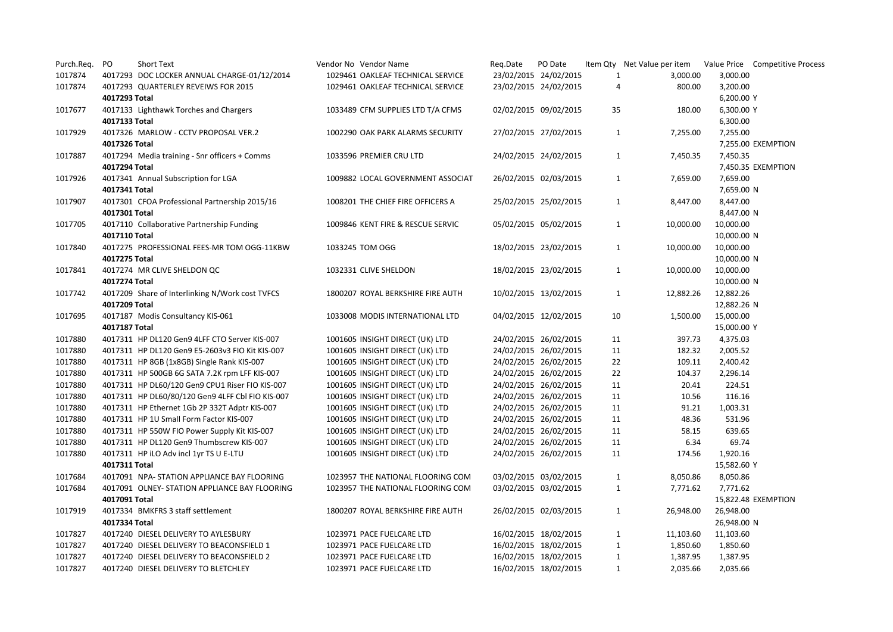| Purch.Req.         | PO            | Short Text                                                                               | Vendor No Vendor Name                                              | Reg.Date | PO Date                                        |                | Item Qty Net Value per item Value Price Competitive Process |                     |  |
|--------------------|---------------|------------------------------------------------------------------------------------------|--------------------------------------------------------------------|----------|------------------------------------------------|----------------|-------------------------------------------------------------|---------------------|--|
| 1017874            |               | 4017293 DOC LOCKER ANNUAL CHARGE-01/12/2014                                              | 1029461 OAKLEAF TECHNICAL SERVICE                                  |          | 23/02/2015 24/02/2015                          | $\mathbf{1}$   | 3,000.00                                                    | 3,000.00            |  |
| 1017874            |               | 4017293 QUARTERLEY REVEIWS FOR 2015                                                      | 1029461 OAKLEAF TECHNICAL SERVICE                                  |          | 23/02/2015 24/02/2015                          | $\overline{a}$ | 800.00                                                      | 3,200.00            |  |
|                    | 4017293 Total |                                                                                          |                                                                    |          |                                                |                |                                                             | 6,200.00 Y          |  |
| 1017677            |               | 4017133 Lighthawk Torches and Chargers                                                   | 1033489 CFM SUPPLIES LTD T/A CFMS                                  |          | 02/02/2015 09/02/2015                          | 35             | 180.00                                                      | 6,300.00 Y          |  |
|                    | 4017133 Total |                                                                                          |                                                                    |          |                                                |                |                                                             | 6,300.00            |  |
| 1017929            |               | 4017326 MARLOW - CCTV PROPOSAL VER.2                                                     | 1002290 OAK PARK ALARMS SECURITY                                   |          | 27/02/2015 27/02/2015                          | $\mathbf{1}$   | 7,255.00                                                    | 7,255.00            |  |
|                    | 4017326 Total |                                                                                          |                                                                    |          |                                                |                |                                                             | 7,255.00 EXEMPTION  |  |
| 1017887            |               | 4017294 Media training - Snr officers + Comms                                            | 1033596 PREMIER CRU LTD                                            |          | 24/02/2015 24/02/2015                          | 1              | 7,450.35                                                    | 7,450.35            |  |
|                    | 4017294 Total |                                                                                          |                                                                    |          |                                                |                |                                                             | 7,450.35 EXEMPTION  |  |
| 1017926            |               | 4017341 Annual Subscription for LGA                                                      | 1009882 LOCAL GOVERNMENT ASSOCIAT                                  |          | 26/02/2015 02/03/2015                          | $\mathbf{1}$   | 7,659.00                                                    | 7,659.00            |  |
|                    | 4017341 Total |                                                                                          |                                                                    |          |                                                |                |                                                             | 7,659.00 N          |  |
| 1017907            |               | 4017301 CFOA Professional Partnership 2015/16                                            | 1008201 THE CHIEF FIRE OFFICERS A                                  |          | 25/02/2015 25/02/2015                          | $\mathbf{1}$   | 8,447.00                                                    | 8,447.00            |  |
|                    | 4017301 Total |                                                                                          |                                                                    |          |                                                |                |                                                             | 8,447.00 N          |  |
| 1017705            |               | 4017110 Collaborative Partnership Funding                                                | 1009846 KENT FIRE & RESCUE SERVIC                                  |          | 05/02/2015 05/02/2015                          | 1              | 10,000.00                                                   | 10,000.00           |  |
|                    | 4017110 Total |                                                                                          |                                                                    |          |                                                |                |                                                             | 10,000.00 N         |  |
| 1017840            |               | 4017275 PROFESSIONAL FEES-MR TOM OGG-11KBW                                               | 1033245 TOM OGG                                                    |          | 18/02/2015 23/02/2015                          | 1              | 10,000.00                                                   | 10,000.00           |  |
|                    | 4017275 Total |                                                                                          |                                                                    |          |                                                |                |                                                             | 10,000.00 N         |  |
| 1017841            |               | 4017274 MR CLIVE SHELDON QC                                                              | 1032331 CLIVE SHELDON                                              |          | 18/02/2015 23/02/2015                          | $\mathbf{1}$   | 10,000.00                                                   | 10,000.00           |  |
|                    | 4017274 Total |                                                                                          |                                                                    |          |                                                |                |                                                             | 10,000.00 N         |  |
| 1017742            |               | 4017209 Share of Interlinking N/Work cost TVFCS                                          | 1800207 ROYAL BERKSHIRE FIRE AUTH                                  |          | 10/02/2015 13/02/2015                          | 1              | 12,882.26                                                   | 12,882.26           |  |
|                    | 4017209 Total |                                                                                          |                                                                    |          |                                                |                |                                                             | 12,882.26 N         |  |
| 1017695            |               | 4017187 Modis Consultancy KIS-061                                                        | 1033008 MODIS INTERNATIONAL LTD                                    |          | 04/02/2015 12/02/2015                          | 10             | 1,500.00                                                    | 15,000.00           |  |
|                    | 4017187 Total |                                                                                          |                                                                    |          |                                                |                |                                                             | 15,000.00 Y         |  |
| 1017880            |               | 4017311 HP DL120 Gen9 4LFF CTO Server KIS-007                                            | 1001605 INSIGHT DIRECT (UK) LTD                                    |          | 24/02/2015 26/02/2015                          | 11             | 397.73                                                      | 4,375.03            |  |
| 1017880            |               | 4017311 HP DL120 Gen9 E5-2603v3 FIO Kit KIS-007                                          | 1001605 INSIGHT DIRECT (UK) LTD                                    |          | 24/02/2015 26/02/2015                          | 11             | 182.32                                                      | 2,005.52            |  |
| 1017880            |               | 4017311 HP 8GB (1x8GB) Single Rank KIS-007                                               | 1001605 INSIGHT DIRECT (UK) LTD                                    |          | 24/02/2015 26/02/2015                          | 22             | 109.11                                                      | 2,400.42            |  |
| 1017880            |               | 4017311 HP 500GB 6G SATA 7.2K rpm LFF KIS-007                                            | 1001605 INSIGHT DIRECT (UK) LTD                                    |          | 24/02/2015 26/02/2015                          | 22             | 104.37                                                      | 2,296.14            |  |
| 1017880            |               | 4017311 HP DL60/120 Gen9 CPU1 Riser FIO KIS-007                                          | 1001605 INSIGHT DIRECT (UK) LTD                                    |          | 24/02/2015 26/02/2015                          | 11             | 20.41                                                       | 224.51              |  |
| 1017880<br>1017880 |               | 4017311 HP DL60/80/120 Gen9 4LFF Cbl FIO KIS-007                                         | 1001605 INSIGHT DIRECT (UK) LTD                                    |          | 24/02/2015 26/02/2015                          | 11<br>11       | 10.56<br>91.21                                              | 116.16              |  |
|                    |               | 4017311 HP Ethernet 1Gb 2P 332T Adptr KIS-007<br>4017311 HP 1U Small Form Factor KIS-007 | 1001605 INSIGHT DIRECT (UK) LTD                                    |          | 24/02/2015 26/02/2015                          |                |                                                             | 1,003.31<br>531.96  |  |
| 1017880<br>1017880 |               |                                                                                          | 1001605 INSIGHT DIRECT (UK) LTD                                    |          | 24/02/2015 26/02/2015                          | 11<br>11       | 48.36<br>58.15                                              | 639.65              |  |
| 1017880            |               | 4017311 HP 550W FIO Power Supply Kit KIS-007<br>4017311 HP DL120 Gen9 Thumbscrew KIS-007 | 1001605 INSIGHT DIRECT (UK) LTD<br>1001605 INSIGHT DIRECT (UK) LTD |          | 24/02/2015 26/02/2015<br>24/02/2015 26/02/2015 | 11             | 6.34                                                        | 69.74               |  |
| 1017880            |               |                                                                                          | 1001605 INSIGHT DIRECT (UK) LTD                                    |          | 24/02/2015 26/02/2015                          | 11             | 174.56                                                      | 1,920.16            |  |
|                    | 4017311 Total | 4017311 HP iLO Adv incl 1yr TS U E-LTU                                                   |                                                                    |          |                                                |                |                                                             | 15,582.60 Y         |  |
| 1017684            |               | 4017091 NPA- STATION APPLIANCE BAY FLOORING                                              | 1023957 THE NATIONAL FLOORING COM                                  |          | 03/02/2015 03/02/2015                          | $\mathbf{1}$   | 8,050.86                                                    | 8,050.86            |  |
| 1017684            |               | 4017091 OLNEY- STATION APPLIANCE BAY FLOORING                                            | 1023957 THE NATIONAL FLOORING COM                                  |          | 03/02/2015 03/02/2015                          | $\mathbf{1}$   | 7,771.62                                                    | 7,771.62            |  |
|                    | 4017091 Total |                                                                                          |                                                                    |          |                                                |                |                                                             | 15,822.48 EXEMPTION |  |
| 1017919            |               | 4017334 BMKFRS 3 staff settlement                                                        | 1800207 ROYAL BERKSHIRE FIRE AUTH                                  |          | 26/02/2015 02/03/2015                          | $\mathbf{1}$   | 26,948.00                                                   | 26,948.00           |  |
|                    | 4017334 Total |                                                                                          |                                                                    |          |                                                |                |                                                             | 26,948.00 N         |  |
| 1017827            |               | 4017240 DIESEL DELIVERY TO AYLESBURY                                                     | 1023971 PACE FUELCARE LTD                                          |          | 16/02/2015 18/02/2015                          | 1              | 11,103.60                                                   | 11,103.60           |  |
| 1017827            |               | 4017240 DIESEL DELIVERY TO BEACONSFIELD 1                                                | 1023971 PACE FUELCARE LTD                                          |          | 16/02/2015 18/02/2015                          | $\mathbf{1}$   | 1,850.60                                                    | 1,850.60            |  |
| 1017827            |               | 4017240 DIESEL DELIVERY TO BEACONSFIELD 2                                                | 1023971 PACE FUELCARE LTD                                          |          | 16/02/2015 18/02/2015                          | $\mathbf{1}$   | 1,387.95                                                    | 1,387.95            |  |
| 1017827            |               | 4017240 DIESEL DELIVERY TO BLETCHLEY                                                     | 1023971 PACE FUELCARE LTD                                          |          | 16/02/2015 18/02/2015                          | 1              | 2,035.66                                                    | 2,035.66            |  |
|                    |               |                                                                                          |                                                                    |          |                                                |                |                                                             |                     |  |